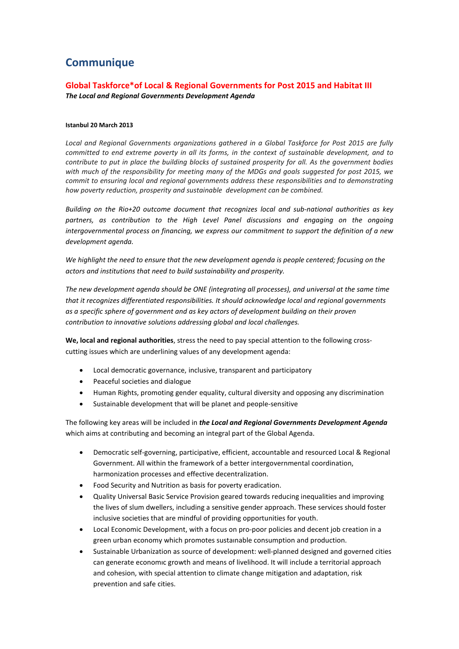# **Communique**

## **Global Taskforce\*of Local & Regional Governments for Post 2015 and Habitat III** *The Local and Regional Governments Development Agenda*

### **Istanbul 20 March 2013**

*Local and Regional Governments organizations gathered in a Global Taskforce for Post 2015 are fully committed to end extreme poverty in all its forms, in the context of sustainable development, and to contribute to put in place the building blocks of sustained prosperity for all. As the government bodies with much of the responsibility for meeting many of the MDGs and goals suggested for post 2015, we commit to ensuring local and regional governments address these responsibilities and to demonstrating how poverty reduction, prosperity and sustainable development can be combined.*

*Building on the Rio+20 outcome document that recognizes local and sub-national authorities as key*  partners, as contribution to the High Level Panel discussions and engaging on the ongoing *intergovernmental process on financing, we express our commitment to support the definition of a new development agenda.*

*We highlight the need to ensure that the new development agenda is people centered; focusing on the actors and institutions that need to build sustainability and prosperity.* 

*The new development agenda should be ONE (integrating all processes), and universal at the same time that it recognizes differentiated responsibilities. It should acknowledge local and regional governments as a specific sphere of government and as key actors of development building on their proven contribution to innovative solutions addressing global and local challenges.*

**We, local and regional authorities**, stress the need to pay special attention to the following crosscutting issues which are underlining values of any development agenda:

- Local democratic governance, inclusive, transparent and participatory
- Peaceful societies and dialogue
- Human Rights, promoting gender equality, cultural diversity and opposing any discrimination
- Sustainable development that will be planet and people-sensitive

The following key areas will be included in *the Local and Regional Governments Development Agenda* which aims at contributing and becoming an integral part of the Global Agenda.

- Democratic self-governing, participative, efficient, accountable and resourced Local & Regional Government. All within the framework of a better intergovernmental coordination, harmonization processes and effective decentralization.
- Food Security and Nutrition as basis for poverty eradication.
- Quality Universal Basic Service Provision geared towards reducing inequalities and improving the lives of slum dwellers, including a sensitive gender approach. These services should foster inclusive societies that are mindful of providing opportunities for youth.
- Local Economic Development, with a focus on pro-poor policies and decent job creation in a green urban economy which promotes sustaınable consumption and production.
- Sustainable Urbanization as source of development: well-planned designed and governed cities can generate economıc growth and means of livelihood. It will include a territorial approach and cohesion, with special attention to climate change mitigation and adaptation, risk prevention and safe cities.